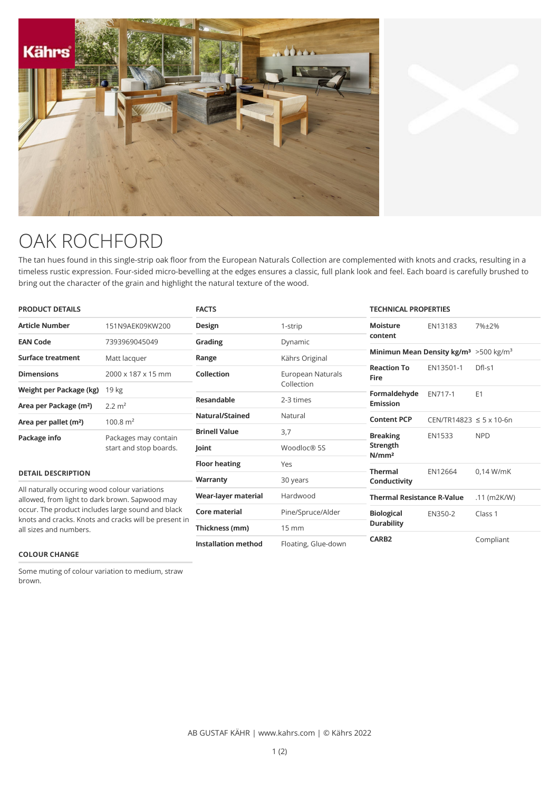

## OAK ROCHFORD

The tan hues found in this single-strip oak floor from the European Naturals Collection are complemented with knots and cracks, resulting in a timeless rustic expression. Four-sided micro-bevelling at the edges ensures a classic, full plank look and feel. Each board is carefully brushed to bring out the character of the grain and highlight the natural texture of the wood.

| <b>PRODUCT DETAILS</b>                                                                                                                                                                                        |                                                | <b>FACTS</b>         |                                 | <b>TECHNICAL PROPERTIES</b>                                    |                                  |                |
|---------------------------------------------------------------------------------------------------------------------------------------------------------------------------------------------------------------|------------------------------------------------|----------------------|---------------------------------|----------------------------------------------------------------|----------------------------------|----------------|
| Article Number                                                                                                                                                                                                | 151N9AEK09KW200                                | <b>Design</b>        | 1-strip                         | <b>Moisture</b>                                                | EN13183                          | 7%±2%          |
| <b>EAN Code</b>                                                                                                                                                                                               | 7393969045049                                  | Grading              | Dynamic                         | content                                                        |                                  |                |
| Surface treatment                                                                                                                                                                                             | Matt lacquer                                   | Range                | Kährs Original                  | Minimun Mean Density kg/m <sup>3</sup> > 500 kg/m <sup>3</sup> |                                  |                |
| <b>Dimensions</b>                                                                                                                                                                                             | 2000 x 187 x 15 mm                             | Collection           | European Naturals<br>Collection | <b>Reaction To</b><br>Fire                                     | EN13501-1                        | Dfl-s1         |
| Weight per Package (kg)                                                                                                                                                                                       | 19 <sub>kg</sub>                               |                      |                                 | Formaldehyde                                                   | EN717-1                          | E <sub>1</sub> |
| Area per Package (m <sup>2</sup> )                                                                                                                                                                            | $2.2 \text{ m}^2$                              | Resandable           | 2-3 times                       | <b>Emission</b>                                                |                                  |                |
| Area per pallet (m <sup>2</sup> )                                                                                                                                                                             | 100.8 m <sup>2</sup>                           | Natural/Stained      | Natural                         | <b>Content PCP</b>                                             | $CEN/TR14823 \le 5 \times 10-6n$ |                |
| Package info                                                                                                                                                                                                  | Packages may contain<br>start and stop boards. | <b>Brinell Value</b> | 3,7                             | <b>Breaking</b><br>Strength                                    | EN1533                           | <b>NPD</b>     |
|                                                                                                                                                                                                               |                                                | Joint                | Woodloc <sup>®</sup> 5S         |                                                                |                                  |                |
|                                                                                                                                                                                                               |                                                | <b>Floor heating</b> | Yes                             | N/mm <sup>2</sup>                                              |                                  |                |
| <b>DETAIL DESCRIPTION</b>                                                                                                                                                                                     |                                                | Warranty             | 30 years                        | <b>Thermal</b><br><b>Conductivity</b>                          | EN12664                          | $0.14$ W/mK    |
| All naturally occuring wood colour variations<br>allowed, from light to dark brown. Sapwood may<br>occur. The product includes large sound and black<br>knots and cracks. Knots and cracks will be present in |                                                | Wear-layer material  | Hardwood                        | <b>Thermal Resistance R-Value</b><br>.11 (m2K/W)               |                                  |                |
|                                                                                                                                                                                                               |                                                | <b>Core material</b> | Pine/Spruce/Alder               | <b>Biological</b>                                              | EN350-2                          | Class 1        |
|                                                                                                                                                                                                               |                                                | This beans from the  | $1 - 1 - 1$                     | <b>Durability</b>                                              |                                  |                |

**Thickness (mm)** 15 mm

**Installation method** Floating, Glue-down

**CARB2** Compliant

## **COLOUR CHANGE**

all sizes and numbers.

Some muting of colour variation to medium, straw brown.